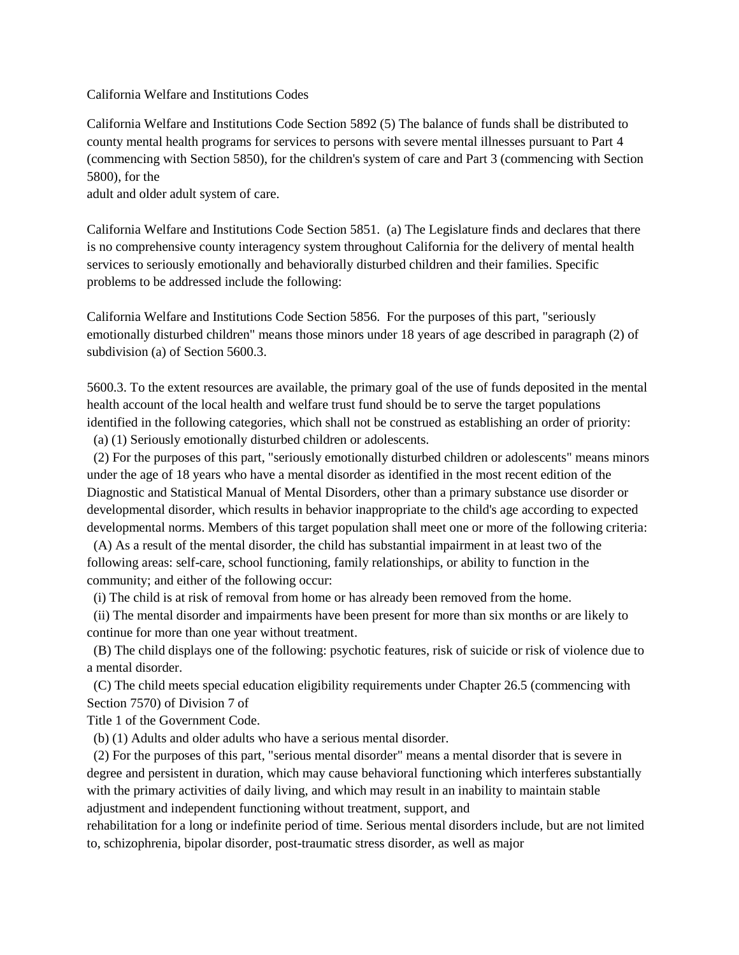California Welfare and Institutions Codes

California Welfare and Institutions Code Section 5892 (5) The balance of funds shall be distributed to county mental health programs for services to persons with severe mental illnesses pursuant to Part 4 (commencing with Section 5850), for the children's system of care and Part 3 (commencing with Section 5800), for the

adult and older adult system of care.

California Welfare and Institutions Code Section 5851. (a) The Legislature finds and declares that there is no comprehensive county interagency system throughout California for the delivery of mental health services to seriously emotionally and behaviorally disturbed children and their families. Specific problems to be addressed include the following:

California Welfare and Institutions Code Section 5856. For the purposes of this part, "seriously emotionally disturbed children" means those minors under 18 years of age described in paragraph (2) of subdivision (a) of Section 5600.3.

5600.3. To the extent resources are available, the primary goal of the use of funds deposited in the mental health account of the local health and welfare trust fund should be to serve the target populations identified in the following categories, which shall not be construed as establishing an order of priority:

(a) (1) Seriously emotionally disturbed children or adolescents.

 (2) For the purposes of this part, "seriously emotionally disturbed children or adolescents" means minors under the age of 18 years who have a mental disorder as identified in the most recent edition of the Diagnostic and Statistical Manual of Mental Disorders, other than a primary substance use disorder or developmental disorder, which results in behavior inappropriate to the child's age according to expected developmental norms. Members of this target population shall meet one or more of the following criteria:

 (A) As a result of the mental disorder, the child has substantial impairment in at least two of the following areas: self-care, school functioning, family relationships, or ability to function in the community; and either of the following occur:

(i) The child is at risk of removal from home or has already been removed from the home.

 (ii) The mental disorder and impairments have been present for more than six months or are likely to continue for more than one year without treatment.

 (B) The child displays one of the following: psychotic features, risk of suicide or risk of violence due to a mental disorder.

 (C) The child meets special education eligibility requirements under Chapter 26.5 (commencing with Section 7570) of Division 7 of

Title 1 of the Government Code.

(b) (1) Adults and older adults who have a serious mental disorder.

 (2) For the purposes of this part, "serious mental disorder" means a mental disorder that is severe in degree and persistent in duration, which may cause behavioral functioning which interferes substantially with the primary activities of daily living, and which may result in an inability to maintain stable adjustment and independent functioning without treatment, support, and

rehabilitation for a long or indefinite period of time. Serious mental disorders include, but are not limited to, schizophrenia, bipolar disorder, post-traumatic stress disorder, as well as major